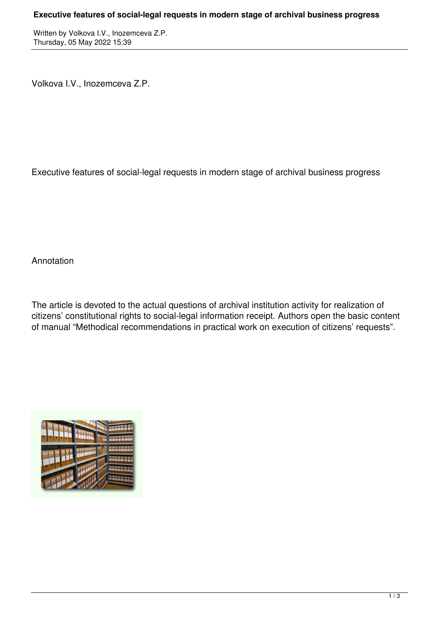Written by Volkova I.V., Inozemceva Z.P. Thursday, 05 May 2022 15:39

Volkova I.V., Inozemceva Z.P.

Executive features of social-legal requests in modern stage of archival business progress

Annotation

The article is devoted to the actual questions of archival institution activity for realization of citizens' constitutional rights to social-legal information receipt. Authors open the basic content of manual "Methodical recommendations in practical work on execution of citizens' requests".

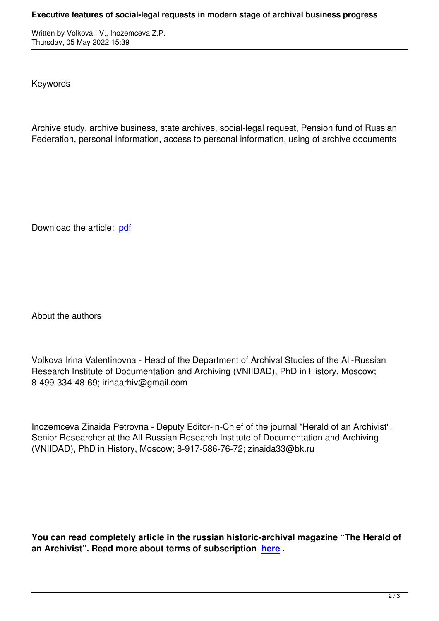Written by Volkova I.V., Inozemceva I.V., I.V., I.V., I.V., I.V., I.V., I.V., I.V., I.V., I.V., I.V., I.V., I.

Keywords

Archive study, archive business, state archives, social-legal request, Pension fund of Russian Federation, personal information, access to personal information, using of archive documents

Download the article: pdf

About the authors

Volkova Irina Valentinovna - Head of the Department of Archival Studies of the All-Russian Research Institute of Documentation and Archiving (VNIIDAD), PhD in History, Moscow; 8-499-334-48-69; irinaarhiv@gmail.com

Inozemceva Zinaida Petrovna - Deputy Editor-in-Chief of the journal "Herald of an Archivist", Senior Researcher at the All-Russian Research Institute of Documentation and Archiving (VNIIDAD), PhD in History, Moscow; 8-917-586-76-72; zinaida33@bk.ru

**You can read completely article in the russian historic-archival magazine "The Herald of an Archivist". Read more about terms of subscription here .**